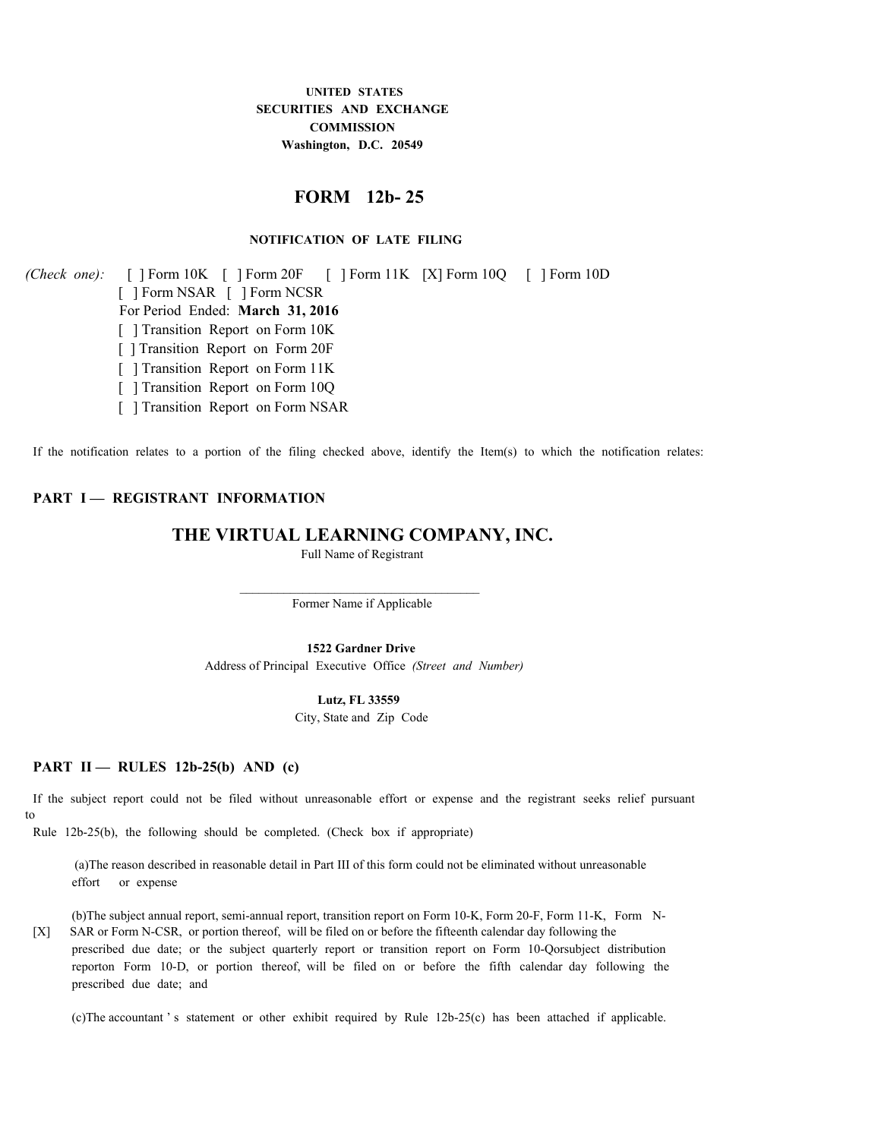## **UNITED STATES SECURITIES AND EXCHANGE COMMISSION Washington, D.C. 20549**

# **FORM 12b- 25**

### **NOTIFICATION OF LATE FILING**

*(Check one):*  [ ] Form 10K [ ] Form 20F [ ] Form 11K [X] Form 10Q [ ] Form 10D [ ] Form NSAR [ ] Form NCSR For Period Ended: **March 31, 2016** [ ] Transition Report on Form 10K [ ] Transition Report on Form 20F [ ] Transition Report on Form 11K [ ] Transition Report on Form 10Q [ ] Transition Report on Form NSAR

If the notification relates to a portion of the filing checked above, identify the Item(s) to which the notification relates:

### **PART I — REGISTRANT INFORMATION**

### **THE VIRTUAL LEARNING COMPANY, INC.**

Full Name of Registrant

 $\mathcal{L}_\text{max}$ 

Former Name if Applicable

**1522 Gardner Drive** Address of Principal Executive Office  *(Street and Number)*

#### **Lutz, FL 33559**

City, State and Zip Code

# **PART II — RULES 12b-25(b) AND (c)**

If the subject report could not be filed without unreasonable effort or expense and the registrant seeks relief pursuant to

Rule 12b-25(b), the following should be completed. (Check box if appropriate)

(a)The reason described in reasonable detail in Part III of this form could not be eliminated without unreasonable effort or expense

[X] SAR or Form N-CSR, or portion thereof, will be filed on or before the fifteenth calendar day following the (b)The subject annual report, semi-annual report, transition report on Form 10-K, Form 20-F, Form 11-K, Form Nprescribed due date; or the subject quarterly report or transition report on Form 10-Qorsubject distribution reporton Form 10-D, or portion thereof, will be filed on or before the fifth calendar day following the prescribed due date; and

(c)The accountant ' s statement or other exhibit required by Rule 12b-25(c) has been attached if applicable.